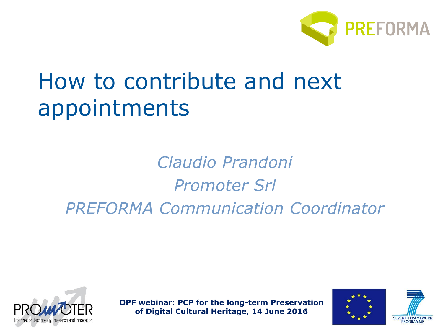

# How to contribute and next appointments

*Claudio Prandoni Promoter Srl PREFORMA Communication Coordinator*





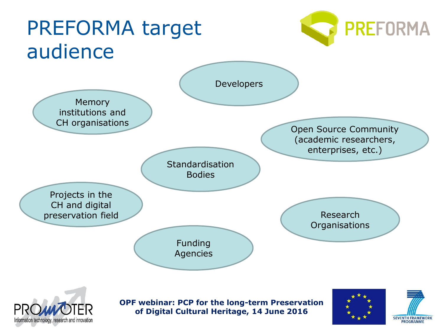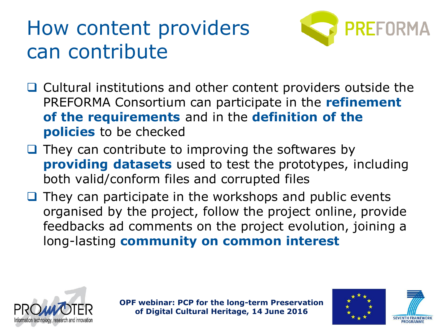## How content providers can contribute



- $\Box$  Cultural institutions and other content providers outside the PREFORMA Consortium can participate in the **refinement of the requirements** and in the **definition of the policies** to be checked
- $\Box$  They can contribute to improving the softwares by **providing datasets** used to test the prototypes, including both valid/conform files and corrupted files
- $\Box$  They can participate in the workshops and public events organised by the project, follow the project online, provide feedbacks ad comments on the project evolution, joining a long-lasting **community on common interest**





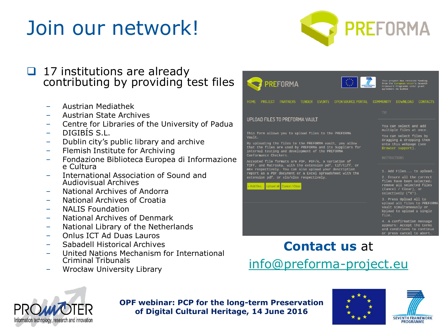# Join our network!



### 17 institutions are already contributing by providing test files

- Austrian Mediathek
- Austrian State Archives
- Centre for Libraries of the University of Padua
- DIGIBÍS S.L.
- Dublin city's public library and archive
- Flemish Institute for Archiving
- Fondazione Biblioteca Europea di Informazione e Cultura
- International Association of Sound and Audiovisual Archives
- National Archives of Andorra
- National Archives of Croatia
- NALIS Foundation
- National Archives of Denmark
- National Library of the Netherlands
- Onlus ICT Ad Duas Lauros
- Sabadell Historical Archives
- United Nations Mechanism for International Criminal Tribunals
- Wrocław University Library



### **Contact us** at [info@preforma-project.eu](mailto:info@preforma-project.eu)





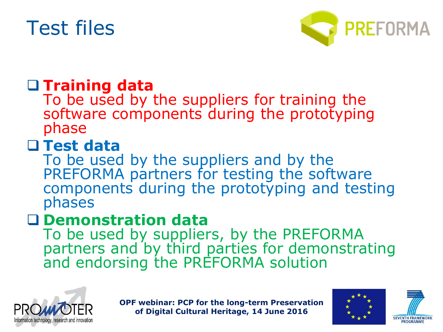## Test files



## **Training data**

To be used by the suppliers for training the software components during the prototyping phase

## **Test data**

To be used by the suppliers and by the PREFORMA partners for testing the software components during the prototyping and testing phases

### **Demonstration data**

To be used by suppliers, by the PREFORMA partners and by third parties for demonstrating and endorsing the PREFORMA solution





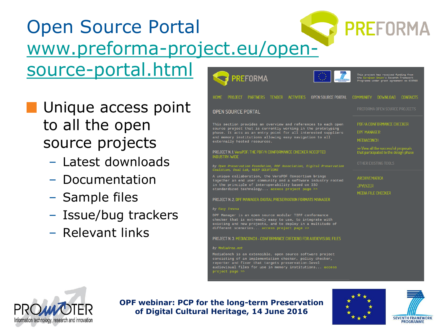### Open Source Portal [www.preforma-project.eu/open](http://www.preforma-project.eu/open-source-portal.html)source-portal.html **PREFORMA**

- **Unique access point** to all the open source projects
	- Latest downloads
	- Documentation
	- Sample files
	- Issue/bug trackers
	- Relevant links





**OPF webinar: PCP for the long-term Preservation of Digital Cultural Heritage, 14 June 2016**





**PREFORMA**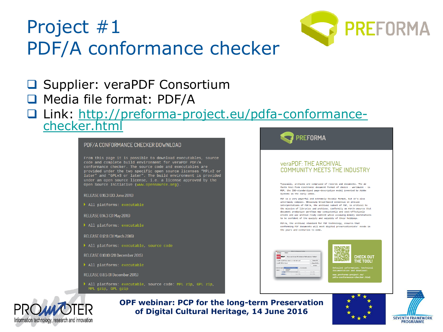



- **□ Supplier: veraPDF Consortium**
- □ Media file format: PDF/A
- [Link: http://preforma-project.eu/pdfa-conformance](http://preforma-project.eu/pdfa-conformance-checker.html)checker.html



All platforms: executable, source code: MPL zip, GPL zip, MPL gzip, GPL gzip







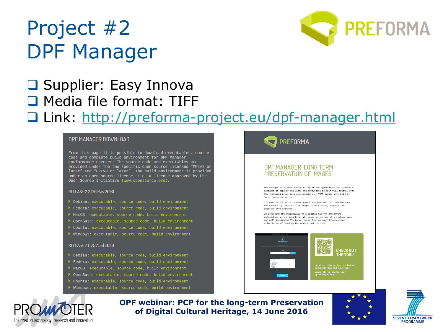## Project #2 DPF Manager



### **□** Supplier: Easy Innova Media file format: TIFF Link: <http://preforma-project.eu/dpf-manager.html>

#### **DPF MANAGER DOWNLOAD**

From this page it is possible to download executables, source code and complete build environment for DPF Manager conformance checker. The source code and executables are provided under the two specific open source licenses "MPLv2 or later" and "GPLv3 or later". The build environment is provided under an open source license, i.e. a license approved by the Open Source Initiative (www.opensource.org).

#### RELEASE 2.2 (30 May 2016)

- 
- Fedora: executable, source code, build environment
- MacOS: executable, source code, build environment
- ▶ OpenSuse: executable, source code, build environment
- Ubuntu: executable, source code, build environment
- ▶ Windows: executable, source code, build environment

#### RELEASE 2.1 (29 April 2016)

- 
- 
- MacOS: executable, source code, build environment
- OpenSuse: executable, source code, build environment
- Ubuntu: executable, source code, build environment
- Windows: executable, source code, build environment







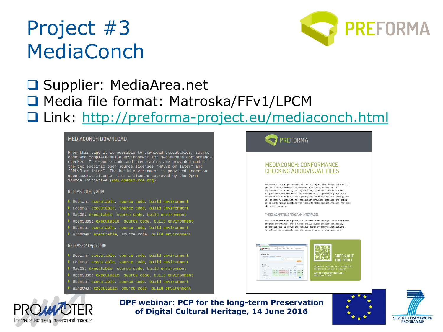## Project #3 MediaConch



### □ Supplier: MediaArea.net ■ Media file format: Matroska/FFv1/LPCM Link: <http://preforma-project.eu/mediaconch.html>

#### MEDIACONCH DOWNLOAD

From this page it is possible to download executables, source code and complete build environment for MediaConch conformance checker. The source code and executables are provided under the two specific open source licenses "MPLv2 or later" and "GPLv3 or later". The build environment is provided under an open source license, i.e. a license approved by the Open Source Initiative (www.opensource.org).

#### RELEASE 31 May 2016

- Debian: executable, source code, build environment
- Fedora: executable, source code, build environment
- MacOS: executable, source code, build environment
- OpenSuse: executable, source code, build environment
- Ubuntu: executable, source code, build environment
- Windows: executable, source code, build environment

#### RELEASE 29 April 2016

- Debian: executable, source code, build environment
- Fedora: executable, source code, build environment
- MacOS: executable, source code, build environment
- OpenSuse: executable, source code, build environment
- Ubuntu: executable, source code, build environment
- Windows: executable, source code, build environment







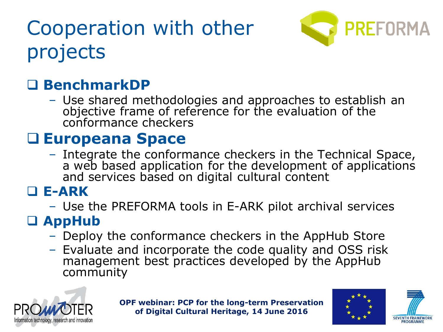# Cooperation with other projects



## **BenchmarkDP**

– Use shared methodologies and approaches to establish an objective frame of reference for the evaluation of the conformance checkers

## **Europeana Space**

– Integrate the conformance checkers in the Technical Space, a web based application for the development of applications and services based on digital cultural content

### **E-ARK**

– Use the PREFORMA tools in E-ARK pilot archival services

## **AppHub**

- Deploy the conformance checkers in the AppHub Store
- Evaluate and incorporate the code quality and OSS risk management best practices developed by the AppHub community





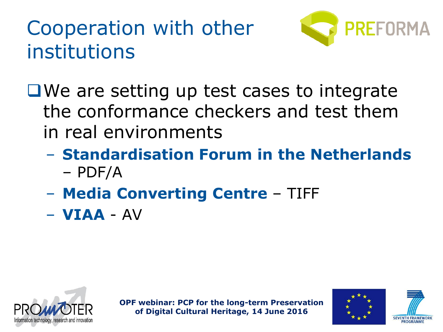# Cooperation with other institutions



■We are setting up test cases to integrate the conformance checkers and test them in real environments

- **Standardisation Forum in the Netherlands**  – PDF/A
- **Media Converting Centre**  TIFF
- **VIAA** AV





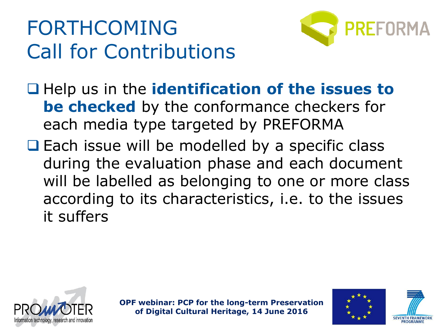# FORTHCOMING Call for Contributions



□ Help us in the **identification of the issues to be checked** by the conformance checkers for each media type targeted by PREFORMA

 $\Box$  Each issue will be modelled by a specific class during the evaluation phase and each document will be labelled as belonging to one or more class according to its characteristics, i.e. to the issues it suffers





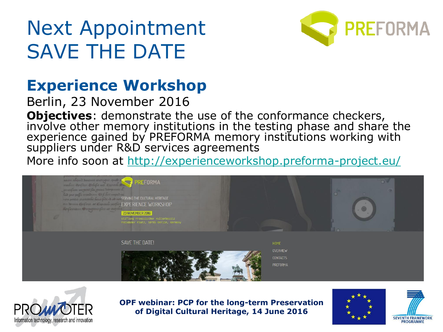# Next Appointment SAVE THE DATE



## **Experience Workshop**

Berlin, 23 November 2016

**Objectives**: demonstrate the use of the conformance checkers, involve other memory institutions in the testing phase and share the experience gained by PREFORMA memory institutions working with suppliers under R&D services agreements

More info soon at<http://experienceworkshop.preforma-project.eu/>